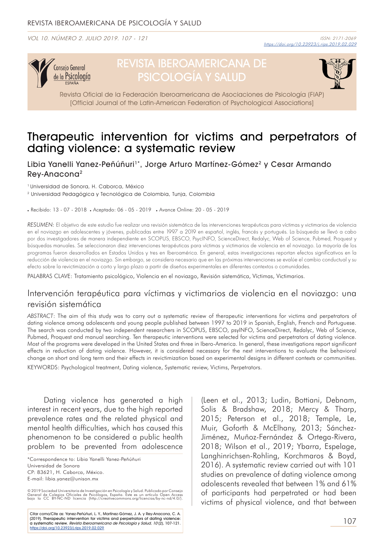VOL 10. NÚMERO 2. JULIO 2019. 107 - 121



# REVISTA IBEROAMERICANA DE PSICOLOGÍA Y SALUD



Revista Oficial de la Federación Iberoamericana de Asociaciones de Psicología (FIAP) [Official Journal of the Latin-American Federation of Psychological Associations]

## Therapeutic intervention for victims and perpetrators of dating violence: a systematic review

Libia Yanelli Yanez-Peñúñuri<sup>1\*</sup>, Jorge Arturo Martínez-Gómez<sup>2</sup> y Cesar Armando Rey-Anacona2

<sup>1</sup> Universidad de Sonora, H. Caborca, México

2 Universidad Pedagógica y Tecnológica de Colombia, Tunja, Colombia

. Recibido: 13 - 07 - 2018 . Aceptado: 06 - 05 - 2019 . Avance Online: 20 - 05 - 2019

*RESUMEN:* El objetivo de este estudio fue realizar una revisión sistemática de las intervenciones terapéuticas para víctimas y victimarios de violencia en el noviazgo en adolescentes y jóvenes, publicadas entre 1997 a 2019 en español, inglés, francés y portugués. La búsqueda se llevó a cabo por dos investigadores de manera independiente en SCOPUS, EBSCO, PsycINFO, ScienceDirect, Redalyc, Web of Science, Pubmed, Proquest y búsquedas manuales. Se seleccionaron diez intervenciones terapéuticas para víctimas y victimarios de violencia en el noviazgo. La mayoría de los programas fueron desarrollados en Estados Unidos y tres en Iberoamérica. En general, estas investigaciones reportan efectos significativos en la reducción de violencia en el noviazgo. Sin embargo, se considera necesario que en las próximas intervenciones se evalúe el cambio conductual y su efecto sobre la revictimización a corto y largo plazo a partir de diseños experimentales en diferentes contextos o comunidades.

PALABRAS CLAVE: Tratamiento psicológico, Violencia en el noviazgo, Revisión sistemática, Víctimas, Victimarios.

#### Intervención terapéutica para víctimas y victimarios de violencia en el noviazgo: una revisión sistemática

*ABSTRACT*: The aim of this study was to carry out a systematic review of therapeutic interventions for victims and perpetrators of dating violence among adolescents and young people published between 1997 to 2019 in Spanish, English, French and Portuguese. The search was conducted by two independent researchers in SCOPUS, EBSCO, psyINFO, ScienceDirect, Redalyc, Web of Science, Pubmed, Proquest and manual searching. Ten therapeutic interventions were selected for victims and perpetrators of dating violence. Most of the programs were developed in the United States and three in Ibero-America. In general, these investigations report significant effects in reduction of dating violence. However, it is considered necessary for the next interventions to evaluate the behavioral change on short and long term and their effects in revictimization based on experimental designs in different contexts or communities. KEYWORDS: Psychological treatment, Dating violence, Systematic review, Victims, Perpetrators.

Dating violence has generated a high interest in recent years, due to the high reported prevalence rates and the related physical and mental health difficulties, which has caused this phenomenon to be considered a public health problem to be prevented from adolescence

© 2019 Sociedad Universitaria de Investigación en Psicología y Salud. Publicado por Consejo<br>General de Colegios Oficiales de Psicólogos, España. Este es un artículo Open Access<br>bajo la CC BY-NC-ND licenci

Citar como/Cite as: Yanez-Peñúñuri, L. Y., Martínez-Gómez, J. A. y Rey-Anacona, C. A. (2019). Therapeutic intervention for victims and perpetrators of dating violence:<br>a systematic review. *Revista Iberoamericana de Psicología y Salud, 10* (2), 107-121. https://doi.org/10.23923/j.rips.2019.02.029

(Leen et al., 2013; Ludin, Bottiani, Debnam, Solis & Bradshaw, 2018; Mercy & Tharp, 2015; Peterson et al., 2018; Temple, Le, Muir, Goforth & McElhany, 2013; Sánchez-Jiménez, Muñoz-Fernández & Ortega-Rivera, 2018; Wilson et al., 2019; Ybarra, Espelage, Langhinrichsen-Rohling, Korchmaros & Boyd, 2016). A systematic review carried out with 101 studies on prevalence of dating violence among adolescents revealed that between 1% and 61% of participants had perpetrated or had been victims of physical violence, and that between

<sup>\*</sup>Correspondence to: Libia Yanelli Yanez-Peñúñuri Universidad de Sonora CP: 83621, H. Caborca, México. E-mail: libia.yanez@unison.mx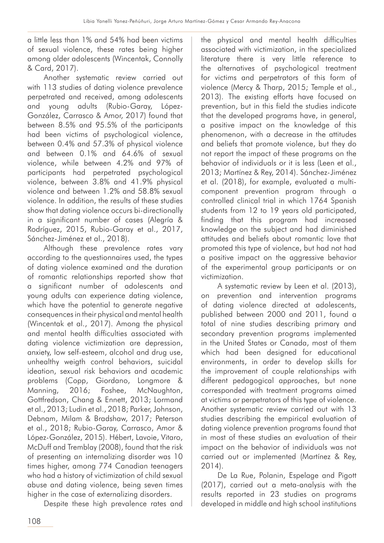a little less than 1% and 54% had been victims of sexual violence, these rates being higher among older adolescents (Wincentak, Connolly & Card, 2017).

Another systematic review carried out with 113 studies of dating violence prevalence perpetrated and received, among adolescents and young adults (Rubio-Garay, López-González, Carrasco & Amor, 2017) found that between 8.5% and 95.5% of the participants had been victims of psychological violence, between 0.4% and 57.3% of physical violence and between 0.1% and 64.6% of sexual violence, while between 4.2% and 97% of participants had perpetrated psychological violence, between 3.8% and 41.9% physical violence and between 1.2% and 58.8% sexual violence. In addition, the results of these studies show that dating violence occurs bi-directionally in a significant number of cases (Alegría & Rodríguez, 2015, Rubio-Garay et al., 2017, Sánchez-Jiménez et al., 2018).

Although these prevalence rates vary according to the questionnaires used, the types of dating violence examined and the duration of romantic relationships reported show that a significant number of adolescents and young adults can experience dating violence, which have the potential to generate negative consequences in their physical and mental health (Wincentak et al., 2017). Among the physical and mental health difficulties associated with dating violence victimization are depression, anxiety, low self-esteem, alcohol and drug use, unhealthy weigth control behaviors, suicidal ideation, sexual risk behaviors and academic problems (Copp, Giordano, Longmore & Manning, 2016; Foshee, McNaughton, Gottfredson, Chang & Ennett, 2013; Lormand et al., 2013; Ludin et al., 2018; Parker, Johnson, Debnam, Milam & Bradshaw, 2017; Peterson et al., 2018; Rubio-Garay, Carrasco, Amor & López-González, 2015). Hébert, Lavoie, Vitaro, McDuff and Tremblay (2008), found that the risk of presenting an internalizing disorder was 10 times higher, among 774 Canadian teenagers who had a history of victimization of child sexual abuse and dating violence, being seven times higher in the case of externalizing disorders.

Despite these high prevalence rates and

the physical and mental health difficulties associated with victimization, in the specialized literature there is very little reference to the alternatives of psychological treatment for victims and perpetrators of this form of violence (Mercy & Tharp, 2015; Temple et al., 2013). The existing efforts have focused on prevention, but in this field the studies indicate that the developed programs have, in general, a positive impact on the knowledge of this phenomenon, with a decrease in the attitudes and beliefs that promote violence, but they do not report the impact of these programs on the behavior of individuals or it is less (Leen et al., 2013; Martínez & Rey, 2014). Sánchez-Jiménez et al. (2018), for example, evaluated a multicomponent prevention program through a controlled clinical trial in which 1764 Spanish students from 12 to 19 years old participated, finding that this program had increased knowledge on the subject and had diminished attitudes and beliefs about romantic love that promoted this type of violence, but had not had a positive impact on the aggressive behavior of the experimental group participants or on victimization.

A systematic review by Leen et al. (2013), on prevention and intervention programs of dating violence directed at adolescents, published between 2000 and 2011, found a total of nine studies describing primary and secondary prevention programs implemented in the United States or Canada, most of them which had been designed for educational environments, in order to develop skills for the improvement of couple relationships with different pedagogical approaches, but none corresponded with treatment programs aimed at victims or perpetrators of this type of violence. Another systematic review carried out with 13 studies describing the empirical evaluation of dating violence prevention programs found that in most of these studies an evaluation of their impact on the behavior of individuals was not carried out or implemented (Martínez & Rey, 2014).

De La Rue, Polanin, Espelage and Pigott (2017), carried out a meta-analysis with the results reported in 23 studies on programs developed in middle and high school institutions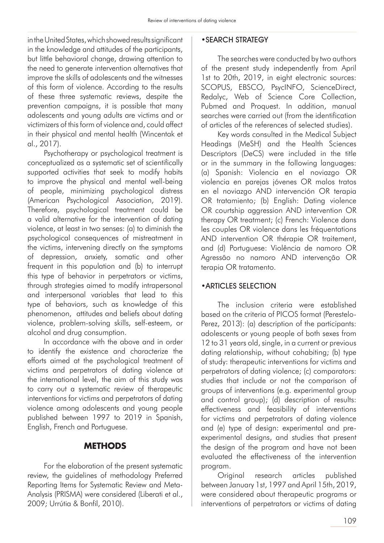in the United States, which showed results significant in the knowledge and attitudes of the participants, but little behavioral change, drawing attention to the need to generate intervention alternatives that improve the skills of adolescents and the witnesses of this form of violence. According to the results of these three systematic reviews, despite the prevention campaigns, it is possible that many adolescents and young adults are victims and or victimizers of this form of violence and, could affect in their physical and mental health (Wincentak et al., 2017).

Psychotherapy or psychological treatment is conceptualized as a systematic set of scientifically supported activities that seek to modify habits to improve the physical and mental well-being of people, minimizing psychological distress (American Psychological Association, 2019). Therefore, psychological treatment could be a valid alternative for the intervention of dating violence, at least in two senses: (a) to diminish the psychological consequences of mistreatment in the victims, intervening directly on the symptoms of depression, anxiety, somatic and other frequent in this population and (b) to interrupt this type of behavior in perpetrators or victims, through strategies aimed to modify intrapersonal and interpersonal variables that lead to this type of behaviors, such as knowledge of this phenomenon, attitudes and beliefs about dating violence, problem-solving skills, self-esteem, or alcohol and drug consumption.

In accordance with the above and in order to identify the existence and characterize the efforts aimed at the psychological treatment of victims and perpetrators of dating violence at the international level, the aim of this study was to carry out a systematic review of therapeutic interventions for victims and perpetrators of dating violence among adolescents and young people published between 1997 to 2019 in Spanish, English, French and Portuguese.

## **METHODS**

For the elaboration of the present systematic review, the guidelines of methodology Preferred Reporting Items for Systematic Review and Meta-Analysis (PRISMA) were considered (Liberati et al., 2009; Urrútia & Bonfil, 2010).

#### •SEARCH STRATEGY

The searches were conducted by two authors of the present study independently from April 1st to 20th, 2019, in eight electronic sources: SCOPUS, EBSCO, PsycINFO, ScienceDirect, Redalyc, Web of Science Core Collection, Pubmed and Proquest. In addition, manual searches were carried out (from the identification of articles of the references of selected studies).

Key words consulted in the Medical Subject Headings (MeSH) and the Health Sciences Descriptors (DeCS) were included in the title or in the summary in the following languages: (a) Spanish: Violencia en el noviazgo OR violencia en parejas jóvenes OR malos tratos en el noviazgo AND intervención OR terapia OR tratamiento; (b) English: Dating violence OR courtship aggression AND intervention OR therapy OR treatment; (c) French: Violence dans les couples OR violence dans les fréquentations AND intervention OR thérapie OR traitement, and (d) Portuguese: Violência de namoro OR Agressão no namoro AND intervenção OR terapia OR tratamento.

#### •ARTICLES SELECTION

The inclusion criteria were established based on the criteria of PICOS format (Perestelo-Perez, 2013): (a) description of the participants: adolescents or young people of both sexes from 12 to 31 years old, single, in a current or previous dating relationship, without cohabiting; (b) type of study: therapeutic interventions for victims and perpetrators of dating violence; (c) comparators: studies that include or not the comparison of groups of interventions (e.g. experimental group and control group); (d) description of results: effectiveness and feasibility of interventions for victims and perpetrators of dating violence and (e) type of design: experimental and preexperimental designs, and studies that present the design of the program and have not been evaluated the effectiveness of the intervention program.

Original research articles published between January 1st, 1997 and April 15th, 2019, were considered about therapeutic programs or interventions of perpetrators or victims of dating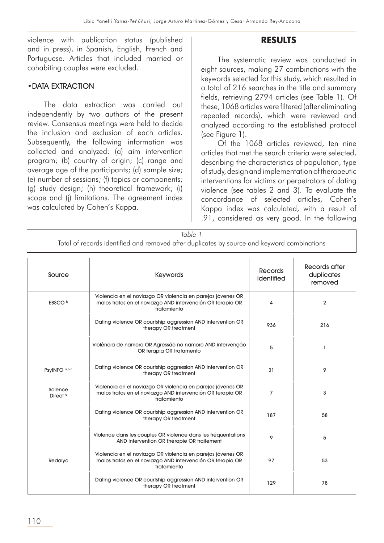violence with publication status (published and in press), in Spanish, English, French and Portuguese. Articles that included married or cohabiting couples were excluded.

#### •DATA EXTRACTION

The data extraction was carried out independently by two authors of the present review. Consensus meetings were held to decide the inclusion and exclusion of each articles. Subsequently, the following information was collected and analyzed: (a) aim intervention program; (b) country of origin; (c) range and average age of the participants; (d) sample size; (e) number of sessions; (f) topics or components; (g) study design; (h) theoretical framework; (i) scope and (j) limitations. The agreement index was calculated by Cohen's Kappa.

#### **RESULTS**

The systematic review was conducted in eight sources, making 27 combinations with the keywords selected for this study, which resulted in a total of 216 searches in the title and summary fields, retrieving 2794 articles (see Table 1). Of these, 1068 articles were filtered (after eliminating repeated records), which were reviewed and analyzed according to the established protocol (see Figure 1).

Of the 1068 articles reviewed, ten nine articles that met the search criteria were selected, describing the characteristics of population, type of study, design and implementation of therapeutic interventions for victims or perpetrators of dating violence (see tables 2 and 3). To evaluate the concordance of selected articles, Cohen's Kappa index was calculated, with a result of .91, considered as very good. In the following

|                                | Table 1<br>Total of records identified and removed after duplicates by source and keyword combinations                                   |                       |                                        |
|--------------------------------|------------------------------------------------------------------------------------------------------------------------------------------|-----------------------|----------------------------------------|
| Source                         | Keywords                                                                                                                                 | Records<br>identified | Records after<br>duplicates<br>removed |
| EBSCO <sup>b</sup>             | Violencia en el noviazgo OR violencia en parejas jóvenes OR<br>malos tratos en el noviazgo AND intervención OR terapia OR<br>tratamiento | 4                     | 2                                      |
|                                | Dating violence OR courtship aggression AND intervention OR<br>therapy OR treatment                                                      | 936                   | 216                                    |
|                                | Violência de namoro OR Agressão no namoro AND intervenção<br>OR terapia OR tratamento                                                    | 5                     | 1                                      |
| PsyINFO a,b,c                  | Dating violence OR courtship aggression AND intervention OR<br>therapy OR treatment                                                      | 31                    | 9                                      |
| Science<br>Direct <sup>c</sup> | Violencia en el noviazgo OR violencia en parejas jóvenes OR<br>malos tratos en el noviazgo AND intervención OR terapia OR<br>tratamiento | 7                     | 3                                      |
|                                | Dating violence OR courtship aggression AND intervention OR<br>therapy OR treatment                                                      | 187                   | 58                                     |
|                                | Violence dans les couples OR violence dans les fréquentations<br>AND intervention OR thérapie OR traitement                              | 9                     | 5                                      |
| Redalyc                        | Violencia en el noviazgo OR violencia en parejas jóvenes OR<br>malos tratos en el noviazgo AND intervención OR terapia OR<br>tratamiento | 97                    | 53                                     |
|                                | Datina violence OR courtship agaression AND intervention OR                                                                              | $\overline{100}$      |                                        |

couriship aggression AND intervention OR 129 129 78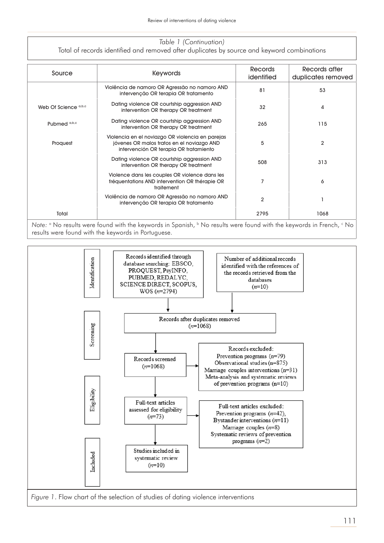#### *Table 1 (Continuation)* Total of records identified and removed after duplicates by source and keyword combinations

| Source                  | <b>Keywords</b>                                                                                                                          | <b>Records</b><br>identified | Records after<br>duplicates removed |  |
|-------------------------|------------------------------------------------------------------------------------------------------------------------------------------|------------------------------|-------------------------------------|--|
|                         | Violência de namoro OR Agressão no namoro AND<br>intervenção OR terapia OR tratamento                                                    | 81                           | 53                                  |  |
| Web Of Science a,b,c    | Dating violence OR courtship aggression AND<br>intervention OR therapy OR treatment                                                      | 32                           | 4                                   |  |
| Pubmed <sup>a,b,c</sup> | Dating violence OR courtship aggression AND<br>intervention OR therapy OR treatment                                                      | 265                          | 115                                 |  |
| Proquest                | Violencia en el noviazgo OR violencia en parejas<br>jóvenes OR malos tratos en el noviazgo AND<br>intervención OR terapia OR tratamiento | 5                            | $\overline{2}$                      |  |
|                         | Dating violence OR courtship aggression AND<br>intervention OR therapy OR treatment                                                      | 508                          | 313                                 |  |
|                         | Violence dans les couples OR violence dans les<br>fréquentations AND intervention OR thérapie OR<br>traitement                           |                              | 6                                   |  |
|                         | Violência de namoro OR Agressão no namoro AND<br>intervenção OR terapia OR tratamento                                                    | $\overline{2}$               |                                     |  |
| Total                   |                                                                                                                                          | 2795                         | 1068                                |  |

Note: <sup>a</sup> No results were found with the keywords in Spanish, <sup>b</sup> No results were found with the keywords in French, <sup>c</sup> No results were found with the keywords in Portuguese.

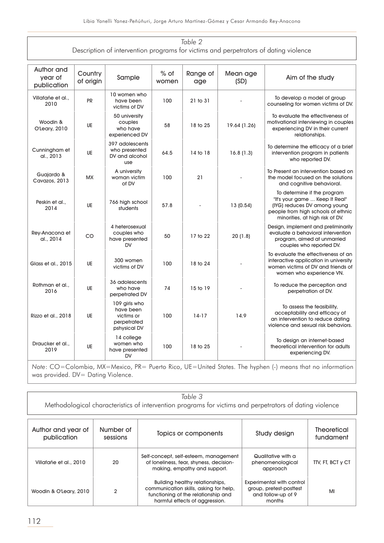| Table 2                                                                              |                      |                                                                         |                 |                 |                  |                                                                                                                                                                        |
|--------------------------------------------------------------------------------------|----------------------|-------------------------------------------------------------------------|-----------------|-----------------|------------------|------------------------------------------------------------------------------------------------------------------------------------------------------------------------|
| Description of intervention programs for victims and perpetrators of dating violence |                      |                                                                         |                 |                 |                  |                                                                                                                                                                        |
| Author and<br>year of<br>publication                                                 | Country<br>of origin | Sample                                                                  | $%$ of<br>women | Range of<br>age | Mean age<br>(SD) | Aim of the study                                                                                                                                                       |
| Villafañe et al<br>2010                                                              | <b>PR</b>            | 10 women who<br>have been<br>victims of DV                              | 100             | $21$ to $31$    |                  | To develop a model of group<br>counseling for women victims of DV.                                                                                                     |
| Woodin &<br>O'Leary, 2010                                                            | UE                   | 50 university<br>couples<br>who have<br>experienced DV                  | 58              | 18 to 25        | 19.64 (1.26)     | To evaluate the effectiveness of<br>motivational interviewing in couples<br>experiencing DV in their current<br>relationships.                                         |
| Cunningham et<br>al., 2013                                                           | UE                   | 397 adolescents<br>who presented<br>DV and alcohol<br>use               | 64.5            | 14 to 18        | 16.8(1.3)        | To determine the efficacy of a brief<br>intervention program in patients<br>who reported DV.                                                                           |
| Guajardo &<br>Cavazos, 2013                                                          | <b>MX</b>            | A university<br>woman victim<br>of DV                                   | 100             | 21              |                  | To Present an intervention based on<br>the model focused on the solutions<br>and cognitive behavioral.                                                                 |
| Peskin et al<br>2014                                                                 | UE                   | 766 high school<br>students                                             | 57.8            |                 | 13(0.54)         | To determine if the program<br>"It's your game  Keep It Real"<br>(IYG) reduces DV among young<br>people from high schools of ethnic<br>minorities, at high risk of DV. |
| Rey-Anacona et<br>al., 2014                                                          | CO                   | 4 heterosexual<br>couples who<br>have presented<br>DV                   | 50              | 17 to 22        | 20(1.8)          | Design, implement and preliminarily<br>evaluate a behavioral intervention<br>program, aimed at unmarried<br>couples who reported DV.                                   |
| Glass et al., 2015                                                                   | UE                   | 300 women<br>victims of DV                                              | 100             | 18 to 24        |                  | To evaluate the effectiveness of an<br>interactive application in university<br>women victims of DV and friends of<br>women who experience VN.                         |
| Rothman et al.,<br>2016                                                              | UE                   | 36 adolescents<br>who have<br>perpetrated DV                            | 74              | 15 to 19        |                  | To reduce the perception and<br>perpetration of DV.                                                                                                                    |
| Rizzo et al., 2018                                                                   | UE                   | 109 girls who<br>have been<br>victims or<br>perpetrated<br>pshysical DV | 100             | $14-17$         | 14.9             | To assess the feasibility,<br>acceptability and efficacy of<br>an intervention to reduce dating<br>violence and sexual risk behaviors.                                 |
| Draucker et al<br>2019                                                               | UE                   | 14 college<br>women who<br>have presented<br>DV                         | 100             | 18 to 25        |                  | To design an internet-based<br>theoretical intervention for adults<br>experiencing DV.                                                                                 |

*Note*: CO=Colombia, MX=Mexico, PR= Puerto Rico, UE=United States. The hyphen (-) means that no information was provided. DV= Dating Violence.

| Table 3<br>Methodological characteristics of intervention programs for victims and perpetrators of dating violence |                       |                                                                                                                                                    |                                                                                             |                                 |  |  |
|--------------------------------------------------------------------------------------------------------------------|-----------------------|----------------------------------------------------------------------------------------------------------------------------------------------------|---------------------------------------------------------------------------------------------|---------------------------------|--|--|
| Author and year of<br>publication                                                                                  | Number of<br>sessions | Topics or components                                                                                                                               | Study design                                                                                | <b>Theoretical</b><br>fundament |  |  |
| Villafañe et al., 2010                                                                                             | 20                    | Self-concept, self-esteem, management<br>of loneliness, fear, shyness, decision-<br>making, empathy and support.                                   | Qualitative with a<br>phenomenological<br>approach                                          | TTV, FT, BCT y CT               |  |  |
| Woodin & O'Leary, 2010                                                                                             | $\overline{2}$        | Building healthy relationships,<br>communication skills, asking for help,<br>functioning of the relationship and<br>harmful effects of aggression. | <b>Experimental with control</b><br>group, pretest-posttest<br>and follow-up of 9<br>months | MI                              |  |  |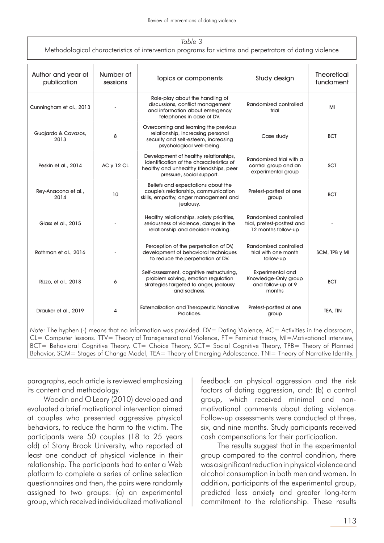| Table 3                                                                                                 |
|---------------------------------------------------------------------------------------------------------|
| Methodological characteristics of intervention programs for victims and perpetrators of dating violence |

| Author and year of<br>publication                                                                                                                                                                                                                                                                                                                   | Number of<br>sessions | Topics or components                                                                                                                                      | Study design                                                                    | <b>Theoretical</b><br>fundament |
|-----------------------------------------------------------------------------------------------------------------------------------------------------------------------------------------------------------------------------------------------------------------------------------------------------------------------------------------------------|-----------------------|-----------------------------------------------------------------------------------------------------------------------------------------------------------|---------------------------------------------------------------------------------|---------------------------------|
| Cunningham et al., 2013                                                                                                                                                                                                                                                                                                                             |                       | Role-play about the handling of<br>discussions, conflict management<br>and information about emergency<br>telephones in case of DV.                       | Randomized controlled<br>trial                                                  | MI                              |
| Guajardo & Cavazos,<br>2013                                                                                                                                                                                                                                                                                                                         | 8                     | Overcoming and learning the previous<br>relationship, increasing personal<br>security and self-esteem, increasing<br>psychological well-being.            | Case study                                                                      | <b>BCT</b>                      |
| Peskin et al., 2014                                                                                                                                                                                                                                                                                                                                 | AC y 12 CL            | Development of healthy relationships,<br>identification of the characteristics of<br>healthy and unhealthy friendships, peer<br>pressure, social support. | Randomized trial with a<br>control group and an<br>experimental group           | SCT                             |
| Rey-Anacona et al.,<br>2014                                                                                                                                                                                                                                                                                                                         | 10                    | Beliefs and expectations about the<br>couple's relationship, communication<br>skills, empathy, anger management and<br>jealousy.                          | Pretest-posttest of one<br>group                                                | <b>BCT</b>                      |
| Glass et al., 2015                                                                                                                                                                                                                                                                                                                                  |                       | Healthy relationships, safety priorities,<br>seriousness of violence, danger in the<br>relationship and decision-making.                                  | Randomized controlled<br>trial, pretest-posttest and<br>12 months follow-up     |                                 |
| Rothman et al., 2016                                                                                                                                                                                                                                                                                                                                |                       | Perception of the perpetration of DV,<br>development of behavioral techniques<br>to reduce the perpetration of DV.                                        | Randomized controlled<br>trial with one month<br>follow-up                      | SCM, TPB y MI                   |
| Rizzo, et al., 2018                                                                                                                                                                                                                                                                                                                                 | 6                     | Self-assessment, cognitive restructuring,<br>problem solving, emotion regulation<br>strategies targeted to anger, jealousy<br>and sadness.                | <b>Experimental and</b><br>Knowledge-Only group<br>and follow-up of 9<br>months | <b>BCT</b>                      |
| Drauker et al., 2019                                                                                                                                                                                                                                                                                                                                | 4                     | <b>Externalization and Therapeutic Narrative</b><br>Practices.                                                                                            | Pretest-posttest of one<br>group                                                | TEA, TIN                        |
| Note: The hyphen (-) means that no information was provided. DV= Dating Violence, AC= Activities in the classroom,<br>CL= Computer lessons. TTV= Theory of Transgenerational Violence, FT= Feminist theory, MI=Motivational interview,<br>BCT= Behavioral Cognitive Theory, CT= Choice Theory, SCT= Social Cognitive Theory, TPB= Theory of Planned |                       |                                                                                                                                                           |                                                                                 |                                 |

Behavior, SCM= Stages of Change Model, TEA= Theory of Emerging Adolescence, TNI= Theory of Narrative Identity.

paragraphs, each article is reviewed emphasizing its content and methodology.

Woodin and O'Leary (2010) developed and evaluated a brief motivational intervention aimed at couples who presented aggressive physical behaviors, to reduce the harm to the victim. The participants were 50 couples (18 to 25 years old) of Stony Brook University, who reported at least one conduct of physical violence in their relationship. The participants had to enter a Web platform to complete a series of online selection questionnaires and then, the pairs were randomly assigned to two groups: (a) an experimental group, which received individualized motivational feedback on physical aggression and the risk factors of dating aggression, and: (b) a control group, which received minimal and nonmotivational comments about dating violence. Follow-up assessments were conducted at three, six, and nine months. Study participants received cash compensations for their participation.

The results suggest that in the experimental group compared to the control condition, there was a significant reduction in physical violence and alcohol consumption in both men and women. In addition, participants of the experimental group, predicted less anxiety and greater long-term commitment to the relationship. These results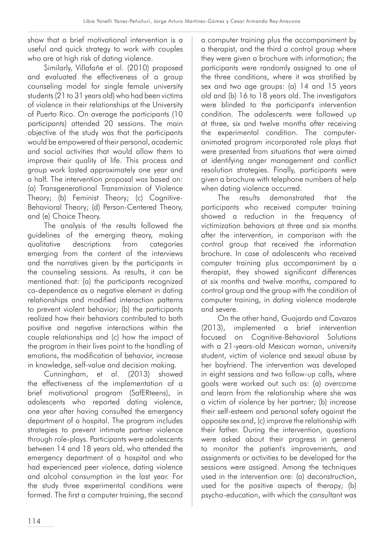show that a brief motivational intervention is a useful and quick strategy to work with couples who are at high risk of dating violence.

Similarly, Villafañe et al. (2010) proposed and evaluated the effectiveness of a group counseling model for single female university students (21 to 31 years old) who had been victims of violence in their relationships at the University of Puerto Rico. On average the participants (10 participants) attended 20 sessions. The main objective of the study was that the participants would be empowered of their personal, academic and social activities that would allow them to improve their quality of life. This process and group work lasted approximately one year and a half. The intervention proposal was based on: (a) Transgenerational Transmission of Violence Theory; (b) Feminist Theory; (c) Cognitive-Behavioral Theory; (d) Person-Centered Theory, and (e) Choice Theory.

The analysis of the results followed the guidelines of the emerging theory, making qualitative descriptions from categories emerging from the content of the interviews and the narratives given by the participants in the counseling sessions. As results, it can be mentioned that: (a) the participants recognized co-dependence as a negative element in dating relationships and modified interaction patterns to prevent violent behavior; (b) the participants realized how their behaviors contributed to both positive and negative interactions within the couple relationships and (c) how the impact of the program in their lives point to the handling of emotions, the modification of behavior, increase in knowledge, self-value and decision making.

Cunningham, et al. (2013) showed the effectiveness of the implementation of a brief motivational program (SafERteens), in adolescents who reported dating violence, one year after having consulted the emergency department of a hospital. The program includes strategies to prevent intimate partner violence through role-plays. Participants were adolescents between 14 and 18 years old, who attended the emergency department of a hospital and who had experienced peer violence, dating violence and alcohol consumption in the last year. For the study three experimental conditions were formed. The first a computer training, the second

a computer training plus the accompaniment by a therapist, and the third a control group where they were given a brochure with information; the participants were randomly assigned to one of the three conditions, where it was stratified by sex and two age groups: (a) 14 and 15 years old and (b) 16 to 18 years old. The investigators were blinded to the participant's intervention condition. The adolescents were followed up at three, six and twelve months after receiving the experimental condition. The computeranimated program incorporated role plays that were presented from situations that were aimed at identifying anger management and conflict resolution strategies. Finally, participants were given a brochure with telephone numbers of help when dating violence occurred.

The results demonstrated that the participants who received computer training showed a reduction in the frequency of victimization behaviors at three and six months after the intervention, in comparison with the control group that received the information brochure. In case of adolescents who received computer training plus accompaniment by a therapist, they showed significant differences at six months and twelve months, compared to control group and the group with the condition of computer training, in dating violence moderate and severe.

On the other hand, Guajardo and Cavazos (2013), implemented a brief intervention focused on Cognitive-Behavioral Solutions with a 21-years-old Mexican woman, university student, victim of violence and sexual abuse by her boyfriend. The intervention was developed in eight sessions and two follow-up calls, where goals were worked out such as: (a) overcome and learn from the relationship where she was a victim of violence by her partner; (b) increase their self-esteem and personal safety against the opposite sex and, (c) improve the relationship with their father. During the intervention, questions were asked about their progress in general to monitor the patient's improvements, and assignments or activities to be developed for the sessions were assigned. Among the techniques used in the intervention are: (a) deconstruction, used for the positive aspects of therapy; (b) psycho-education, with which the consultant was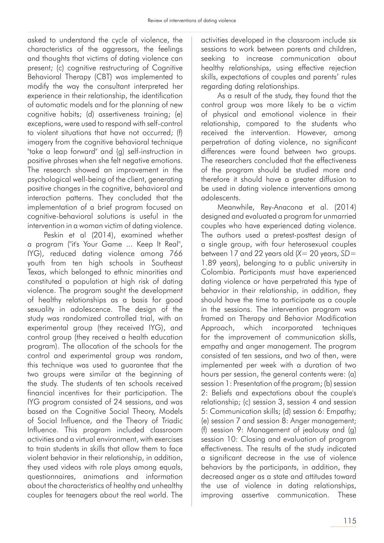asked to understand the cycle of violence, the characteristics of the aggressors, the feelings and thoughts that victims of dating violence can present; (c) cognitive restructuring of Cognitive Behavioral Therapy (CBT) was implemented to modify the way the consultant interpreted her experience in their relationship, the identification of automatic models and for the planning of new cognitive habits; (d) assertiveness training; (e) exceptions, were used to respond with self-control to violent situations that have not occurred; (f) imagery from the cognitive behavioral technique "take a leap forward" and (g) self-instruction in positive phrases when she felt negative emotions. The research showed an improvement in the psychological well-being of the client, generating positive changes in the cognitive, behavioral and interaction patterns. They concluded that the implementation of a brief program focused on cognitive-behavioral solutions is useful in the intervention in a woman victim of dating violence.

Peskin et al (2014), examined whether a program ("it's Your Game ... Keep It Real", IYG), reduced dating violence among 766 youth from ten high schools in Southeast Texas, which belonged to ethnic minorities and constituted a population at high risk of dating violence. The program sought the development of healthy relationships as a basis for good sexuality in adolescence. The design of the study was randomized controlled trial, with an experimental group (they received IYG), and control group (they received a health education program). The allocation of the schools for the control and experimental group was random, this technique was used to guarantee that the two groups were similar at the beginning of the study. The students of ten schools received financial incentives for their participation. The IYG program consisted of 24 sessions, and was based on the Cognitive Social Theory, Models of Social Influence, and the Theory of Triadic Influence. This program included classroom activities and a virtual environment, with exercises to train students in skills that allow them to face violent behavior in their relationship, in addition, they used videos with role plays among equals, questionnaires, animations and information about the characteristics of healthy and unhealthy couples for teenagers about the real world. The

activities developed in the classroom include six sessions to work between parents and children, seeking to increase communication about healthy relationships, using effective rejection skills, expectations of couples and parents' rules regarding dating relationships.

As a result of the study, they found that the control group was more likely to be a victim of physical and emotional violence in their relationship, compared to the students who received the intervention. However, among perpetration of dating violence, no significant differences were found between two groups. The researchers concluded that the effectiveness of the program should be studied more and therefore it should have a greater diffusion to be used in dating violence interventions among adolescents.

Meanwhile, Rey-Anacona et al. (2014) designed and evaluated a program for unmarried couples who have experienced dating violence. The authors used a pretest-posttest design of a single group, with four heterosexual couples between 17 and 22 years old (*X*= 20 years, *SD*= 1.89 years), belonging to a public university in Colombia. Participants must have experienced dating violence or have perpetrated this type of behavior in their relationship, in addition, they should have the time to participate as a couple in the sessions. The intervention program was framed on Therapy and Behavior Modification Approach, which incorporated techniques for the improvement of communication skills, empathy and anger management. The program consisted of ten sessions, and two of then, were implemented per week with a duration of two hours per session, the general contents were: (a) session 1: Presentation of the program; (b) session 2: Beliefs and expectations about the couple's relationship; (c) session 3, session 4 and session 5: Communication skills; (d) session 6: Empathy; (e) session 7 and session 8: Anger management; (f) session 9: Management of jealousy and (g) session 10: Closing and evaluation of program effectiveness. The results of the study indicated a significant decrease in the use of violence behaviors by the participants, in addition, they decreased anger as a state and attitudes toward the use of violence in dating relationships, improving assertive communication. These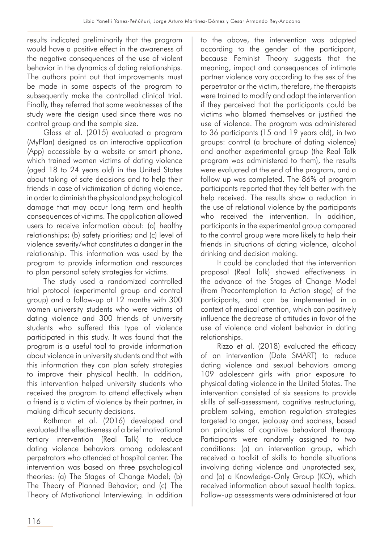results indicated preliminarily that the program would have a positive effect in the awareness of the negative consequences of the use of violent behavior in the dynamics of dating relationships. The authors point out that improvements must be made in some aspects of the program to subsequently make the controlled clinical trial. Finally, they referred that some weaknesses of the study were the design used since there was no control group and the sample size.

Glass et al. (2015) evaluated a program (MyPlan) designed as an interactive application (App) accessible by a website or smart phone, which trained women victims of dating violence (aged 18 to 24 years old) in the United States about taking of safe decisions and to help their friends in case of victimization of dating violence, in order to diminish the physical and psychological damage that may occur long term and health consequences of victims. The application allowed users to receive information about: (a) healthy relationships; (b) safety priorities; and (c) level of violence severity/what constitutes a danger in the relationship. This information was used by the program to provide information and resources to plan personal safety strategies for victims.

The study used a randomized controlled trial protocol (experimental group and control group) and a follow-up at 12 months with 300 women university students who were victims of dating violence and 300 friends of university students who suffered this type of violence participated in this study. It was found that the program is a useful tool to provide information about violence in university students and that with this information they can plan safety strategies to improve their physical health. In addition, this intervention helped university students who received the program to attend effectively when a friend is a victim of violence by their partner, in making difficult security decisions.

Rothman et al. (2016) developed and evaluated the effectiveness of a brief motivational tertiary intervention (Real Talk) to reduce dating violence behaviors among adolescent perpetrators who attended at hospital center. The intervention was based on three psychological theories: (a) The Stages of Change Model; (b) The Theory of Planned Behavior; and (c) The Theory of Motivational Interviewing. In addition

relationships.

to the above, the intervention was adapted according to the gender of the participant, because Feminist Theory suggests that the meaning, impact and consequences of intimate partner violence vary according to the sex of the perpetrator or the victim, therefore, the therapists were trained to modify and adapt the intervention if they perceived that the participants could be victims who blamed themselves or justified the use of violence. The program was administered to 36 participants (15 and 19 years old), in two groups: control (a brochure of dating violence) and another experimental group (the Real Talk program was administered to them), the results were evaluated at the end of the program, and a follow up was completed. The 86% of program participants reported that they felt better with the help received. The results show a reduction in the use of relational violence by the participants who received the intervention. In addition, participants in the experimental group compared to the control group were more likely to help their friends in situations of dating violence, alcohol drinking and decision making.

It could be concluded that the intervention proposal (Real Talk) showed effectiveness in the advance of the Stages of Change Model (from Precontemplation to Action stage) of the participants, and can be implemented in a context of medical attention, which can positively influence the decrease of attitudes in favor of the use of violence and violent behavior in dating

Rizzo et al. (2018) evaluated the efficacy of an intervention (Date SMART) to reduce dating violence and sexual behaviors among 109 adolescent girls with prior exposure to physical dating violence in the United States. The intervention consisted of six sessions to provide skills of self-assessment, cognitive restructuring, problem solving, emotion regulation strategies targeted to anger, jealousy and sadness, based on principles of cognitive behavioral therapy. Participants were randomly assigned to two conditions: (a) an intervention group, which received a toolkit of skills to handle situations involving dating violence and unprotected sex, and (b) a Knowledge-Only Group (KO), which received information about sexual health topics. Follow-up assessments were administered at four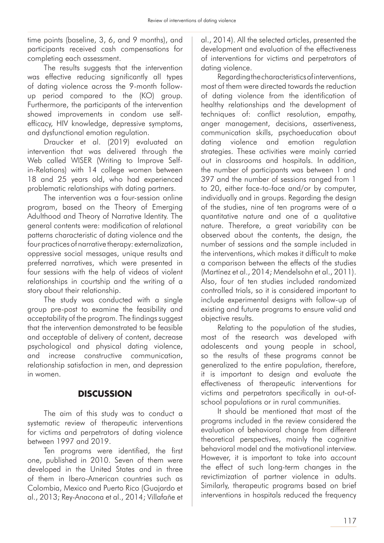time points (baseline, 3, 6, and 9 months), and participants received cash compensations for completing each assessment.

The results suggests that the intervention was effective reducing significantly all types of dating violence across the 9-month followup period compared to the (KO) group. Furthermore, the participants of the intervention showed improvements in condom use selfefficacy, HIV knowledge, depressive symptoms, and dysfunctional emotion regulation.

Draucker et al. (2019) evaluated an intervention that was delivered through the Web called WISER (Writing to Improve Selfin-Relations) with 14 college women between 18 and 25 years old, who had experienced problematic relationships with dating partners.

The intervention was a four-session online program, based on the Theory of Emerging Adulthood and Theory of Narrative Identity. The general contents were: modification of relational patterns characteristic of dating violence and the four practices of narrative therapy: externalization, oppressive social messages, unique results and preferred narratives, which were presented in four sessions with the help of videos of violent relationships in courtship and the writing of a story about their relationship.

The study was conducted with a single group pre-post to examine the feasibility and acceptability of the program. The findings suggest that the intervention demonstrated to be feasible and acceptable of delivery of content, decrease psychological and physical dating violence, and increase constructive communication, relationship satisfaction in men, and depression in women.

## **DISCUSSION**

The aim of this study was to conduct a systematic review of therapeutic interventions for victims and perpetrators of dating violence between 1997 and 2019.

Ten programs were identified, the first one, published in 2010. Seven of them were developed in the United States and in three of them in Ibero-American countries such as Colombia, Mexico and Puerto Rico (Guajardo et al., 2013; Rey-Anacona et al., 2014; Villafañe et al., 2014). All the selected articles, presented the development and evaluation of the effectiveness of interventions for victims and perpetrators of dating violence.

Regarding the characteristics of interventions, most of them were directed towards the reduction of dating violence from the identification of healthy relationships and the development of techniques of: conflict resolution, empathy, anger management, decisions, assertiveness, communication skills, psychoeducation about dating violence and emotion regulation strategies. These activities were mainly carried out in classrooms and hospitals. In addition, the number of participants was between 1 and 397 and the number of sessions ranged from 1 to 20, either face-to-face and/or by computer, individually and in groups. Regarding the design of the studies, nine of ten programs were of a quantitative nature and one of a qualitative nature. Therefore, a great variability can be observed about the contents, the design, the number of sessions and the sample included in the interventions, which makes it difficult to make a comparison between the effects of the studies (Martínez et al., 2014; Mendelsohn et al., 2011). Also, four of ten studies included randomized controlled trials, so it is considered important to include experimental designs with follow-up of existing and future programs to ensure valid and objective results.

Relating to the population of the studies, most of the research was developed with adolescents and young people in school, so the results of these programs cannot be generalized to the entire population, therefore, it is important to design and evaluate the effectiveness of therapeutic interventions for victims and perpetrators specifically in out-ofschool populations or in rural communities.

It should be mentioned that most of the programs included in the review considered the evaluation of behavioral change from different theoretical perspectives, mainly the cognitive behavioral model and the motivational interview. However, it is important to take into account the effect of such long-term changes in the revictimization of partner violence in adults. Similarly, therapeutic programs based on brief interventions in hospitals reduced the frequency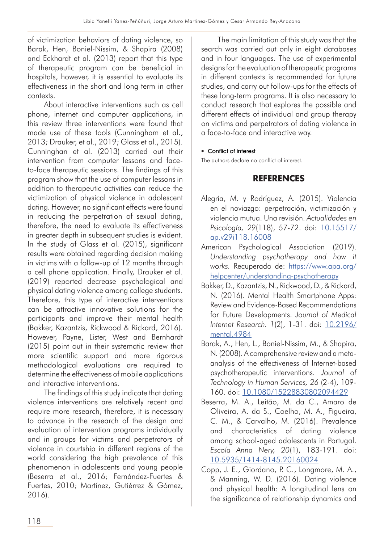of victimization behaviors of dating violence, so Barak, Hen, Boniel-Nissim, & Shapira (2008) and Eckhardt et al. (2013) report that this type of therapeutic program can be beneficial in hospitals, however, it is essential to evaluate its effectiveness in the short and long term in other contexts.

About interactive interventions such as cell phone, internet and computer applications, in this review three interventions were found that made use of these tools (Cunningham et al., 2013; Drauker, et al., 2019; Glass et al., 2015). Cunninghan et al. (2013) carried out their intervention from computer lessons and faceto-face therapeutic sessions. The findings of this program show that the use of computer lessons in addition to therapeutic activities can reduce the victimization of physical violence in adolescent dating. However, no significant effects were found in reducing the perpetration of sexual dating, therefore, the need to evaluate its effectiveness in greater depth in subsequent studies is evident. In the study of Glass et al. (2015), significant results were obtained regarding decision making in victims with a follow-up of 12 months through a cell phone application. Finally, Drauker et al. (2019) reported decrease psychological and physical dating violence among college students. Therefore, this type of interactive interventions can be attractive innovative solutions for the participants and improve their mental health (Bakker, Kazantzis, Rickwood & Rickard, 2016). However, Payne, Lister, West and Bernhardt (2015) point out in their systematic review that more scientific support and more rigorous methodological evaluations are required to determine the effectiveness of mobile applications and interactive interventions.

The findings of this study indicate that dating violence interventions are relatively recent and require more research, therefore, it is necessary to advance in the research of the design and evaluation of intervention programs individually and in groups for victims and perpetrators of violence in courtship in different regions of the world considering the high prevalence of this phenomenon in adolescents and young people (Beserra et al., 2016; Fernández-Fuertes & Fuertes, 2010; Martínez, Gutiérrez & Gómez, 2016).

The main limitation of this study was that the search was carried out only in eight databases and in four languages. The use of experimental designs for the evaluation of therapeutic programs in different contexts is recommended for future studies, and carry out follow-ups for the effects of these long-term programs. It is also necessary to conduct research that explores the possible and different effects of individual and group therapy on victims and perpetrators of dating violence in a face-to-face and interactive way.

#### • Conflict of interest

The authors declare no conflict of interest.

### **REFERENCES**

- Alegría, M. y Rodríguez, A. (2015). Violencia en el noviazgo: perpetración, victimización y violencia mutua. Una revisión. *Actualidades en Psicología, 29*(118), 57-72. doi: 10.15517/ ap.v29i118.16008
- American Psychological Association (2019). *Understanding psychotherapy and how it works.* Recuperado de: https://www.apa.org/ helpcenter/understanding-psychotherapy
- Bakker, D., Kazantzis, N., Rickwood, D., & Rickard, N. (2016). Mental Health Smartphone Apps: Review and Evidence-Based Recommendations for Future Developments. *Journal of Medical Internet Research. 1*(2), 1-31. doi: 10.2196/ mental.4984
- Barak, A., Hen, L., Boniel-Nissim, M., & Shapira, N. (2008). A comprehensive review and a metaanalysis of the effectiveness of Internet-based psychotherapeutic interventions. *Journal of Technology in Human Services, 26* (2-4), 109- 160. doi: 10.1080/15228830802094429
- Beserra, M. A., Leitão, M. da C., Amaro de Oliveira, A. da S., Coelho, M. A., Figueira, C. M., & Carvalho, M. (2016). Prevalence and characteristics of dating violence among school-aged adolescents in Portugal. *Escola Anna Nery, 20*(1), 183-191. doi: 10.5935/1414-8145.20160024
- Copp, J. E., Giordano, P. C., Longmore, M. A., & Manning, W. D. (2016). Dating violence and physical health: A longitudinal lens on the significance of relationship dynamics and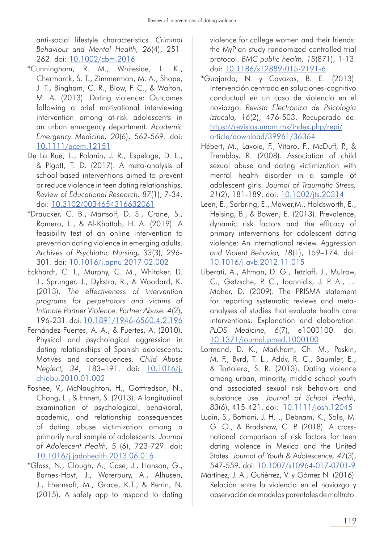anti-social lifestyle characteristics. *Criminal Behaviour and Mental Health, 26*(4), 251- 262. doi: 10.1002/cbm.2016

- \*Cunningham, R. M., Whiteside, L. K., Chermarck, S. T., Zimmerman, M. A., Shope, J. T., Bingham, C. R., Blow, F. C., & Walton, M. A. (2013). Dating violence: Outcomes following a brief motivational interviewing intervention among at-risk adolescents in an urban emergency department. *Academic Emergency Medicine, 20*(6), 562-569. doi: 10.1111/acem.12151
- De La Rue, L., Polanin, J. R., Espelage, D. L., & Pigott, T. D. (2017). A meta-analysis of school-based interventions aimed to prevent or reduce violence in teen dating relationships. *Review of Educational Research, 87*(1), 7-34. doi: 10.3102/0034654316632061
- \*Draucker, C. B., Martsolf, D. S., Crane, S., Romero, L., & Al-Khattab, H. A. (2019). A feasibility test of an online intervention to prevention dating violence in emerging adults. *Archives of Psychiatric Nursing, 33*(3), 296- 301. doi: 10.1016/j.apnu.2017.02.002
- Eckhardt, C. I., Murphy, C. M., Whitaker, D. J., Sprunger, J., Dykstra, R., & Woodard, K. (2013). *The effectiveness of intervention programs for perpetrators and victims of Intimate Partner Violence. Partner Abuse. 4*(2), 196-231. doi: 10.1891/1946-6560.4.2.196
- Fernández-Fuertes, A. A., & Fuertes, A. (2010). Physical and psychological aggression in dating relationships of Spanish adolescents: Motives and consequences. *Child Abuse Neglect, 34*, 183–191. doi: 10.1016/j. chiabu.2010.01.002
- Foshee, V., McNaughton, H., Gottfredson, N., Chang, L., & Ennett, S. (2013). A longitudinal examination of psychological, behavioral, academic, and relationship consequences of dating abuse victimization among a primarily rural sample of adolescents. *Journal of Adolescent Health, 5* (6), 723-729. doi: 10.1016/j.jadohealth.2013.06.016
- \*Glass, N., Clough, A., Case, J., Hanson, G., Barnes-Hoyt, J., Waterbury, A., Alhusen, J., Ehernsaft, M., Grace, K.T., & Perrin, N. (2015). A safety app to respond to dating

violence for college women and their friends: the MyPlan study randomized controlled trial protocol. *BMC public health, 15*(871), 1-13. doi: 10.1186/s12889-015-2191-6

- \*Guajardo, N. y Cavazos, B. E. (2013). Intervención centrada en soluciones-cognitivo conductual en un caso de violencia en el noviazgo. *Revista Electrónica de Psicología Iztacala, 16*(2), 476-503. Recuperado de: https://revistas.unam.mx/index.php/repi/ article/download/39961/36364
- Hébert, M., Lavoie, F., Vitaro, F., McDuff, P., & Tremblay, R. (2008). Association of child sexual abuse and dating victimization with mental health disorder in a sample of adolescent girls. *Journal of Traumatic Stress, 21*(2), 181-189. doi: 10.1002/jts.20314
- Leen, E., Sorbring, E., Mawer,M., Holdsworth, E., Helsing, B., & Bowen, E. (2013). Prevalence, dynamic risk factors and the efficacy of primary interventions for adolescent dating violence: An international review. *Aggression and Violent Behavior, 18*(1), 159–174. doi: 10.1016/j.avb.2012.11.015
- Liberati, A., Altman, D. G., Tetzlaff, J., Mulrow, C., Gøtzsche, P. C., Ioannidis, J. P. A., … Moher, D. (2009). The PRISMA statement for reporting systematic reviews and metaanalyses of studies that evaluate health care interventions: Explanation and elaboration. *PLOS Medicine, 6*(7), e1000100. doi: 10.1371/journal.pmed.1000100
- Lormand, D. K., Markham, Ch. M., Peskin, M. F., Byrd, T. L., Addy, R. C., Baumler, E., & Tortolero, S. R. (2013). Dating violence among urban, minority, middle school youth and associated sexual risk behaviors and substance use. *Journal of School Health, 83*(6), 415-421. doi: 10.1111/josh.12045
- Ludin, S., Bottiani, J. H. ., Debnam, K., Solis, M. G. O., & Bradshaw, C. P. (2018). A crossnational comparison of risk factors for teen dating violence in Mexico and the United States. *Journal of Youth & Adolescence, 47*(3), 547-559. doi: 10.1007/s10964-017-0701-9
- Martínez, J. A., Gutiérrez, V. y Gómez N. (2016). Relación entre la violencia en el noviazgo y observación de modelos parentales de maltrato.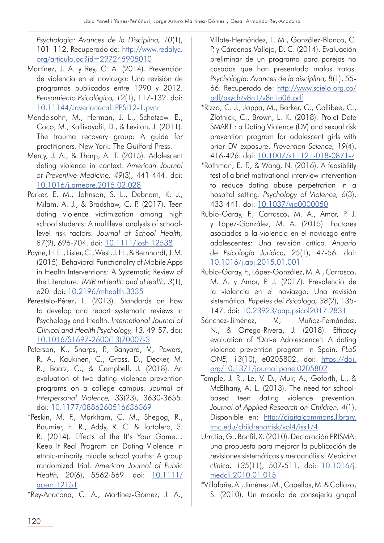*Psychologia: Avances de la Disciplina, 10*(1), 101–112. Recuperado de: http://www.redalyc. org/articulo.oa?id=297245905010

- Martínez, J. A. y Rey, C. A. (2014). Prevención de violencia en el noviazgo: Una revisión de programas publicados entre 1990 y 2012. *Pensamiento Psicológico, 12*(1), 117-132. doi: 10.11144/Javerianacali.PPSI12-1.pvnr
- Mendelsohn, M., Herman, J. L., Schatzow. E., Coco, M., Kallivayalil, D., & Levitan, J. (2011). The trauma recovery group: A guide for practitioners. New York: The Guilford Press.
- Mercy, J. A., & Tharp, A. T. (2015). Adolescent dating violence in context. *American Journal of Preventive Medicine, 49*(3), 441-444. doi: 10.1016/j.amepre.2015.02.028
- Parker, E. M., Johnson, S. L., Debnam, K. J., Milam, A. J., & Bradshaw, C. P. (2017). Teen dating violence victimization among high school students: A multilevel analysis of schoollevel risk factors. *Journal of School Health, 87*(9), 696-704. doi: 10.1111/josh.12538
- Payne, H. E., Lister, C., West, J. H., & Bernhardt, J. M. (2015). Behavioral Functionality of Mobile Apps in Health Interventions: A Systematic Review of the Literature. *JMIR mHealth and uHealth, 3*(1), e20. doi: 10.2196/mhealth.3335
- Perestelo-Pérez, L. (2013). Standards on how to develop and report systematic reviews in Psychology and Health. *International Journal of Clinical and Health Psychology, 13,* 49-57. doi: 10.1016/S1697-2600(13)70007-3
- Peterson, K., Sharps, P., Banyard, V., Powers, R. A., Kaukinen, C., Gross, D., Decker, M. R., Baatz, C., & Campbell, J. (2018). An evaluation of two dating violence prevention programs on a college campus. *Journal of Interpersonal Violence, 33*(23), 3630-3655. doi: 10.1177/0886260516636069
- \*Peskin, M. F., Markham, C. M., Shegog, R., Baumier, E. R., Addy, R. C. & Tortolero, S. R. (2014). Effects of the It's Your Game… Keep It Real Program on Dating Violence in ethnic-minority middle school youths: A group randomized trial. *American Journal of Public Health, 20*(6), 5562-569. doi: 10.1111/ acem.12151
- \*Rey-Anacona, C. A., Martínez-Gómez, J. A.,

Villate-Hernández, L. M., González-Blanco, C. P. y Cárdenas-Vallejo, D. C. (2014). Evaluación preliminar de un programa para parejas no casadas que han presentado malos tratos. *Psychologia: Avances de la disciplina, 8*(1), 55- 66. Recuperado de: http://www.scielo.org.co/ pdf/psych/v8n1/v8n1a06.pdf

- \*Rizzo, C. J., Joppa, M., Barker, C., Collibee, C., Zlotnick, C., Brown, L. K. (2018). Projet Date SMART : a Dating Violence (DV) and sexual risk prevention program for adolescent girls with prior DV exposure. *Prevention Science, 19*(4), 416-426. doi: 10.1007/s11121-018-0871-z
- \*Rothman, E. F., & Wang, N. (2016). A feasibility test of a brief motivational interview intervention to reduce dating abuse perpetration in a hospital setting. *Psychology of Violence, 6*(3), 433-441. doi: 10.1037/vio0000050
- Rubio-Garay, F., Carrasco, M. A., Amor, P. J. y López-González, M. A. (2015). Factores asociados a la violencia en el noviazgo entre adolescentes: Una revisión crítica. *Anuario de Psicología Jurídica, 25*(1), 47-56. doi: 10.1016/j.apj.2015.01.001
- Rubio-Garay, F., López-González, M. A., Carrasco, M. A. y Amor, P. J. (2017). Prevalencia de la violencia en el noviazgo: Una revisión sistemática. *Papeles del Psicólogo, 38*(2), 135- 147. doi: 10.23923/pap.psicol2017.2831
- Sánchez-Jiménez, V., Muñoz-Fernández, N., & Ortega-Rivera, J. (2018). Efficacy evaluation of "Dat-e Adolescence": A dating violence prevention program in Spain. *PLoS ONE, 13*(10), e0205802. doi: https://doi. org/10.1371/journal.pone.0205802
- Temple, J. R., Le, V. D., Muir, A., Goforth, L., & McElhany, A. L. (2013). The need for schoolbased teen dating violence prevention. *Journal of Applied Research on Children, 4*(1). Disponible en: http://digitalcommons.library. tmc.edu/childrenatrisk/vol4/iss1/4
- Urrútia, G., Bonfil, X. (2010). Declaración PRISMA: una propuesta para mejorar la publicación de revisiones sistemáticas y metaanálisis. *Medicina clínica, 135*(11), 507-511. doi: 10.1016/j. medcli.2010.01.015
- \*Villafañe, A., Jiménez, M., Capellas, M. & Collazo, S. (2010). Un modelo de consejería grupal